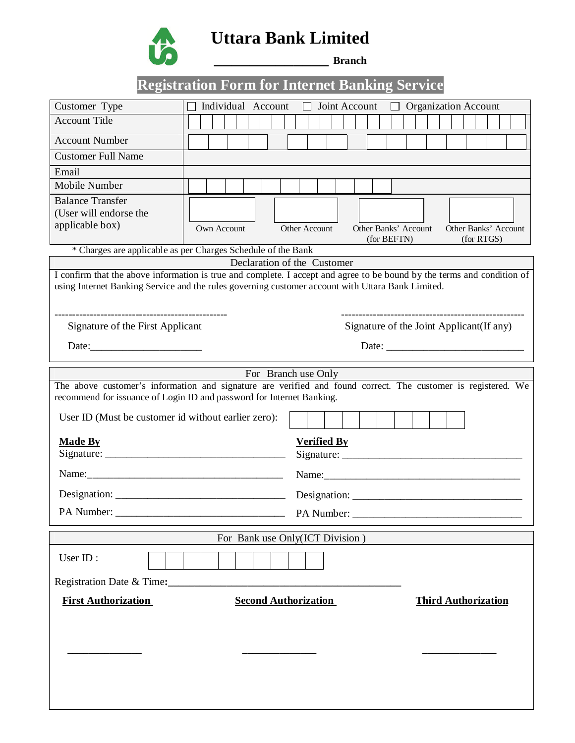

**Uttara Bank Limited**

**\_\_\_\_\_\_\_\_\_\_\_\_\_ Branch**

# **Registration Form for Internet Banking Service**

| Customer Type                                                                                                           |                              | Individual Account |  |  |  |                                              |            |                    | Joint Account |  |  |                                                                                                                                                                                                                                                                                                                                                                                                               |  |  |  |  | <b>Organization Account</b> |                            |  |  |
|-------------------------------------------------------------------------------------------------------------------------|------------------------------|--------------------|--|--|--|----------------------------------------------|------------|--------------------|---------------|--|--|---------------------------------------------------------------------------------------------------------------------------------------------------------------------------------------------------------------------------------------------------------------------------------------------------------------------------------------------------------------------------------------------------------------|--|--|--|--|-----------------------------|----------------------------|--|--|
| <b>Account Title</b>                                                                                                    |                              |                    |  |  |  |                                              |            |                    |               |  |  |                                                                                                                                                                                                                                                                                                                                                                                                               |  |  |  |  |                             |                            |  |  |
| <b>Account Number</b>                                                                                                   |                              |                    |  |  |  |                                              |            |                    |               |  |  |                                                                                                                                                                                                                                                                                                                                                                                                               |  |  |  |  |                             |                            |  |  |
| <b>Customer Full Name</b>                                                                                               |                              |                    |  |  |  |                                              |            |                    |               |  |  |                                                                                                                                                                                                                                                                                                                                                                                                               |  |  |  |  |                             |                            |  |  |
| Email                                                                                                                   |                              |                    |  |  |  |                                              |            |                    |               |  |  |                                                                                                                                                                                                                                                                                                                                                                                                               |  |  |  |  |                             |                            |  |  |
| Mobile Number                                                                                                           |                              |                    |  |  |  |                                              |            |                    |               |  |  |                                                                                                                                                                                                                                                                                                                                                                                                               |  |  |  |  |                             |                            |  |  |
| <b>Balance Transfer</b><br>(User will endorse the                                                                       |                              |                    |  |  |  |                                              |            |                    |               |  |  |                                                                                                                                                                                                                                                                                                                                                                                                               |  |  |  |  |                             |                            |  |  |
| applicable box)                                                                                                         | Own Account<br>Other Account |                    |  |  |  | Other Banks' Account<br>Other Banks' Account |            |                    |               |  |  |                                                                                                                                                                                                                                                                                                                                                                                                               |  |  |  |  |                             |                            |  |  |
|                                                                                                                         |                              |                    |  |  |  |                                              |            |                    |               |  |  | (for BEFTN)                                                                                                                                                                                                                                                                                                                                                                                                   |  |  |  |  |                             | (for RTGS)                 |  |  |
| * Charges are applicable as per Charges Schedule of the Bank                                                            |                              |                    |  |  |  | Declaration of the Customer                  |            |                    |               |  |  |                                                                                                                                                                                                                                                                                                                                                                                                               |  |  |  |  |                             |                            |  |  |
| I confirm that the above information is true and complete. I accept and agree to be bound by the terms and condition of |                              |                    |  |  |  |                                              |            |                    |               |  |  |                                                                                                                                                                                                                                                                                                                                                                                                               |  |  |  |  |                             |                            |  |  |
| using Internet Banking Service and the rules governing customer account with Uttara Bank Limited.                       |                              |                    |  |  |  |                                              |            |                    |               |  |  |                                                                                                                                                                                                                                                                                                                                                                                                               |  |  |  |  |                             |                            |  |  |
|                                                                                                                         |                              |                    |  |  |  |                                              |            |                    |               |  |  |                                                                                                                                                                                                                                                                                                                                                                                                               |  |  |  |  |                             |                            |  |  |
|                                                                                                                         |                              |                    |  |  |  |                                              |            |                    |               |  |  |                                                                                                                                                                                                                                                                                                                                                                                                               |  |  |  |  |                             |                            |  |  |
| Signature of the First Applicant                                                                                        |                              |                    |  |  |  |                                              |            |                    |               |  |  | Signature of the Joint Applicant (If any)                                                                                                                                                                                                                                                                                                                                                                     |  |  |  |  |                             |                            |  |  |
| Date:                                                                                                                   |                              |                    |  |  |  |                                              |            |                    |               |  |  | Date: $\frac{1}{\sqrt{1-\frac{1}{2}}\sqrt{1-\frac{1}{2}}\sqrt{1-\frac{1}{2}}\sqrt{1-\frac{1}{2}}\sqrt{1-\frac{1}{2}}\sqrt{1-\frac{1}{2}}\sqrt{1-\frac{1}{2}}\sqrt{1-\frac{1}{2}}\sqrt{1-\frac{1}{2}}\sqrt{1-\frac{1}{2}}\sqrt{1-\frac{1}{2}}\sqrt{1-\frac{1}{2}}\sqrt{1-\frac{1}{2}}\sqrt{1-\frac{1}{2}}\sqrt{1-\frac{1}{2}}\sqrt{1-\frac{1}{2}}\sqrt{1-\frac{1}{2}}\sqrt{1-\frac{1}{2}}\sqrt{1-\frac{1}{2}}$ |  |  |  |  |                             |                            |  |  |
|                                                                                                                         |                              |                    |  |  |  |                                              |            |                    |               |  |  |                                                                                                                                                                                                                                                                                                                                                                                                               |  |  |  |  |                             |                            |  |  |
| The above customer's information and signature are verified and found correct. The customer is registered. We           |                              |                    |  |  |  | For Branch use Only                          |            |                    |               |  |  |                                                                                                                                                                                                                                                                                                                                                                                                               |  |  |  |  |                             |                            |  |  |
| recommend for issuance of Login ID and password for Internet Banking.                                                   |                              |                    |  |  |  |                                              |            |                    |               |  |  |                                                                                                                                                                                                                                                                                                                                                                                                               |  |  |  |  |                             |                            |  |  |
| User ID (Must be customer id without earlier zero):                                                                     |                              |                    |  |  |  |                                              |            |                    |               |  |  |                                                                                                                                                                                                                                                                                                                                                                                                               |  |  |  |  |                             |                            |  |  |
| <b>Made By</b>                                                                                                          |                              |                    |  |  |  |                                              |            | <b>Verified By</b> |               |  |  |                                                                                                                                                                                                                                                                                                                                                                                                               |  |  |  |  |                             |                            |  |  |
|                                                                                                                         |                              |                    |  |  |  |                                              |            |                    |               |  |  |                                                                                                                                                                                                                                                                                                                                                                                                               |  |  |  |  |                             |                            |  |  |
|                                                                                                                         |                              |                    |  |  |  |                                              |            |                    |               |  |  |                                                                                                                                                                                                                                                                                                                                                                                                               |  |  |  |  |                             |                            |  |  |
|                                                                                                                         |                              |                    |  |  |  |                                              |            |                    |               |  |  |                                                                                                                                                                                                                                                                                                                                                                                                               |  |  |  |  |                             |                            |  |  |
| PA Number:                                                                                                              |                              |                    |  |  |  |                                              | PA Number: |                    |               |  |  |                                                                                                                                                                                                                                                                                                                                                                                                               |  |  |  |  |                             |                            |  |  |
|                                                                                                                         |                              |                    |  |  |  | For Bank use Only(ICT Division)              |            |                    |               |  |  |                                                                                                                                                                                                                                                                                                                                                                                                               |  |  |  |  |                             |                            |  |  |
|                                                                                                                         |                              |                    |  |  |  |                                              |            |                    |               |  |  |                                                                                                                                                                                                                                                                                                                                                                                                               |  |  |  |  |                             |                            |  |  |
| User ID:                                                                                                                |                              |                    |  |  |  |                                              |            |                    |               |  |  |                                                                                                                                                                                                                                                                                                                                                                                                               |  |  |  |  |                             |                            |  |  |
| Registration Date & Time:                                                                                               |                              |                    |  |  |  |                                              |            |                    |               |  |  |                                                                                                                                                                                                                                                                                                                                                                                                               |  |  |  |  |                             |                            |  |  |
| <b>First Authorization</b>                                                                                              |                              |                    |  |  |  | <b>Second Authorization</b>                  |            |                    |               |  |  |                                                                                                                                                                                                                                                                                                                                                                                                               |  |  |  |  |                             | <b>Third Authorization</b> |  |  |
|                                                                                                                         |                              |                    |  |  |  |                                              |            |                    |               |  |  |                                                                                                                                                                                                                                                                                                                                                                                                               |  |  |  |  |                             |                            |  |  |
|                                                                                                                         |                              |                    |  |  |  |                                              |            |                    |               |  |  |                                                                                                                                                                                                                                                                                                                                                                                                               |  |  |  |  |                             |                            |  |  |
|                                                                                                                         |                              |                    |  |  |  |                                              |            |                    |               |  |  |                                                                                                                                                                                                                                                                                                                                                                                                               |  |  |  |  |                             |                            |  |  |
|                                                                                                                         |                              |                    |  |  |  |                                              |            |                    |               |  |  |                                                                                                                                                                                                                                                                                                                                                                                                               |  |  |  |  |                             |                            |  |  |
|                                                                                                                         |                              |                    |  |  |  |                                              |            |                    |               |  |  |                                                                                                                                                                                                                                                                                                                                                                                                               |  |  |  |  |                             |                            |  |  |
|                                                                                                                         |                              |                    |  |  |  |                                              |            |                    |               |  |  |                                                                                                                                                                                                                                                                                                                                                                                                               |  |  |  |  |                             |                            |  |  |
|                                                                                                                         |                              |                    |  |  |  |                                              |            |                    |               |  |  |                                                                                                                                                                                                                                                                                                                                                                                                               |  |  |  |  |                             |                            |  |  |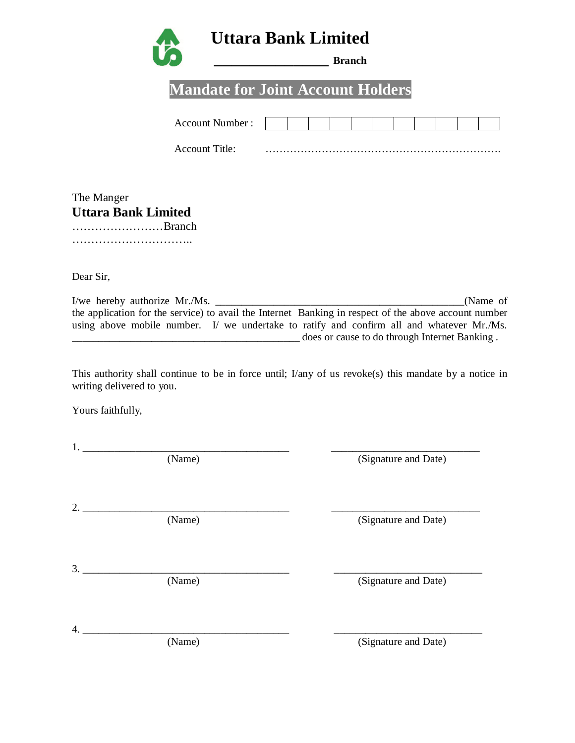

# **Mandate for Joint Account Holders**

| <b>Account Number:</b> |  |  |  |  |  |  |
|------------------------|--|--|--|--|--|--|
|                        |  |  |  |  |  |  |

Account Title: ………………………………………………………….

| The Manger                 |  |
|----------------------------|--|
| <b>Uttara Bank Limited</b> |  |
| Branch                     |  |

…………………………..

Dear Sir,

I/we hereby authorize Mr./Ms. \_\_\_\_\_\_\_\_\_\_\_\_\_\_\_\_\_\_\_\_\_\_\_\_\_\_\_\_\_\_\_\_\_\_\_\_\_\_\_\_\_\_\_\_\_\_\_(Name of the application for the service) to avail the Internet Banking in respect of the above account number using above mobile number. I/ we undertake to ratify and confirm all and whatever Mr./Ms. \_\_\_\_\_\_\_\_\_\_\_\_\_\_\_\_\_\_\_\_\_\_\_\_\_\_\_\_\_\_\_\_\_\_\_\_\_\_\_\_\_\_\_ does or cause to do through Internet Banking .

This authority shall continue to be in force until; I/any of us revoke(s) this mandate by a notice in writing delivered to you.

Yours faithfully,

| 1. |        |                      |
|----|--------|----------------------|
|    | (Name) | (Signature and Date) |
|    |        |                      |
| 2. |        |                      |
|    | (Name) | (Signature and Date) |
|    |        |                      |
|    |        |                      |
| 3. | (Name) | (Signature and Date) |
|    |        |                      |
|    |        |                      |
| 4. | (Name) | (Signature and Date) |
|    |        |                      |